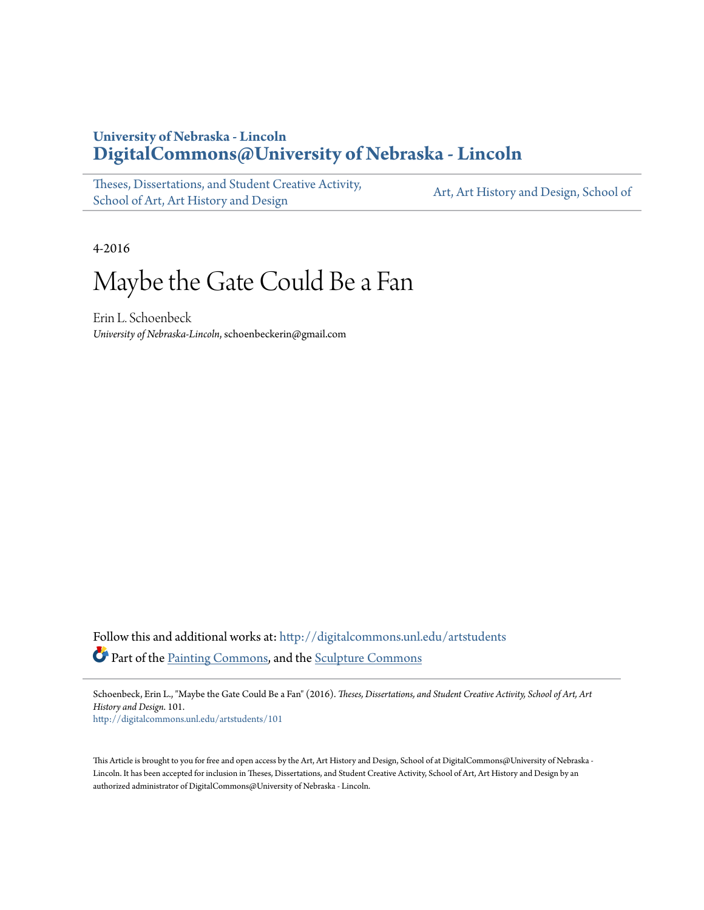## **University of Nebraska - Lincoln [DigitalCommons@University of Nebraska - Lincoln](http://digitalcommons.unl.edu?utm_source=digitalcommons.unl.edu%2Fartstudents%2F101&utm_medium=PDF&utm_campaign=PDFCoverPages)**

[Theses, Dissertations, and Student Creative Activity,](http://digitalcommons.unl.edu/artstudents?utm_source=digitalcommons.unl.edu%2Fartstudents%2F101&utm_medium=PDF&utm_campaign=PDFCoverPages) [School of Art, Art History and Design](http://digitalcommons.unl.edu/artstudents?utm_source=digitalcommons.unl.edu%2Fartstudents%2F101&utm_medium=PDF&utm_campaign=PDFCoverPages)

[Art, Art History and Design, School of](http://digitalcommons.unl.edu/art?utm_source=digitalcommons.unl.edu%2Fartstudents%2F101&utm_medium=PDF&utm_campaign=PDFCoverPages)

4-2016

## Maybe the Gate Could Be a Fan

Erin L. Schoenbeck *University of Nebraska-Lincoln*, schoenbeckerin@gmail.com

Follow this and additional works at: [http://digitalcommons.unl.edu/artstudents](http://digitalcommons.unl.edu/artstudents?utm_source=digitalcommons.unl.edu%2Fartstudents%2F101&utm_medium=PDF&utm_campaign=PDFCoverPages) Part of the [Painting Commons](http://network.bepress.com/hgg/discipline/1339?utm_source=digitalcommons.unl.edu%2Fartstudents%2F101&utm_medium=PDF&utm_campaign=PDFCoverPages), and the [Sculpture Commons](http://network.bepress.com/hgg/discipline/1341?utm_source=digitalcommons.unl.edu%2Fartstudents%2F101&utm_medium=PDF&utm_campaign=PDFCoverPages)

Schoenbeck, Erin L., "Maybe the Gate Could Be a Fan" (2016). *Theses, Dissertations, and Student Creative Activity, School of Art, Art History and Design*. 101.

[http://digitalcommons.unl.edu/artstudents/101](http://digitalcommons.unl.edu/artstudents/101?utm_source=digitalcommons.unl.edu%2Fartstudents%2F101&utm_medium=PDF&utm_campaign=PDFCoverPages)

This Article is brought to you for free and open access by the Art, Art History and Design, School of at DigitalCommons@University of Nebraska -Lincoln. It has been accepted for inclusion in Theses, Dissertations, and Student Creative Activity, School of Art, Art History and Design by an authorized administrator of DigitalCommons@University of Nebraska - Lincoln.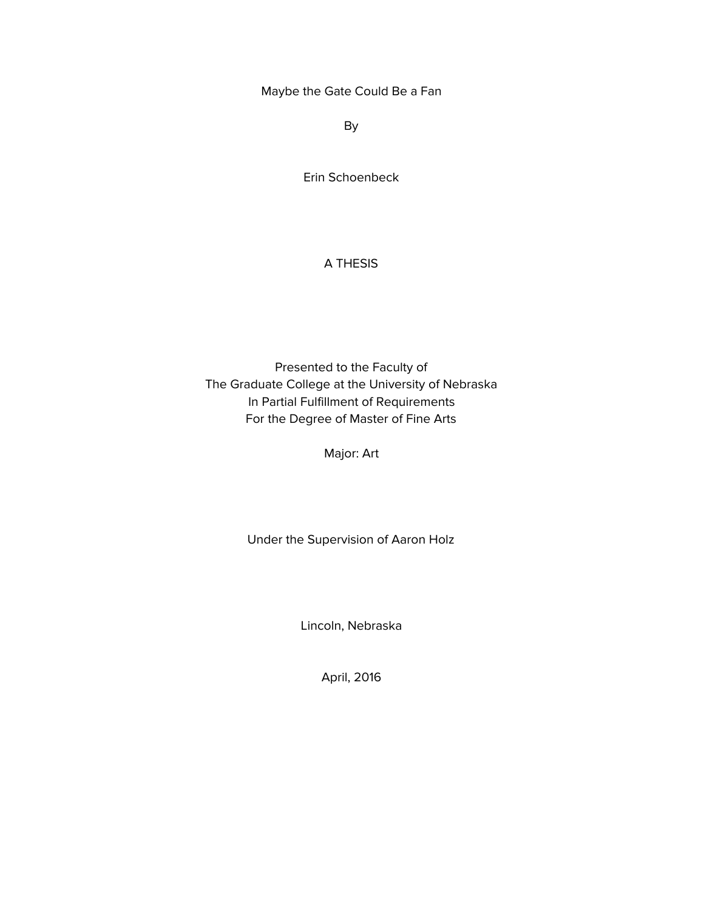Maybe the Gate Could Be a Fan

By

Erin Schoenbeck

## A THESIS

Presented to the Faculty of The Graduate College at the University of Nebraska In Partial Fulfillment of Requirements For the Degree of Master of Fine Arts

Major: Art

Under the Supervision of Aaron Holz

Lincoln, Nebraska

April, 2016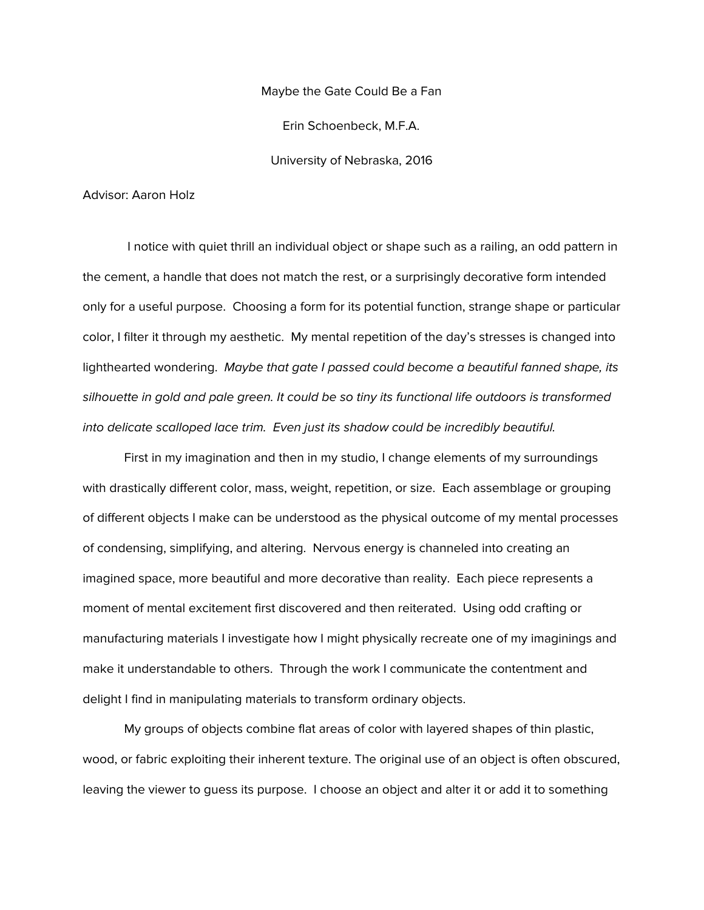Maybe the Gate Could Be a Fan Erin Schoenbeck, M.F.A. University of Nebraska, 2016

Advisor: Aaron Holz

I notice with quiet thrill an individual object or shape such as a railing, an odd pattern in the cement, a handle that does not match the rest, or a surprisingly decorative form intended only for a useful purpose. Choosing a form for its potential function, strange shape or particular color, I filter it through my aesthetic. My mental repetition of the day's stresses is changed into lighthearted wondering. Maybe that gate I passed could become a beautiful fanned shape, its silhouette in gold and pale green. It could be so tiny its functional life outdoors is transformed into delicate scalloped lace trim. Even just its shadow could be incredibly beautiful.

First in my imagination and then in my studio, I change elements of my surroundings with drastically different color, mass, weight, repetition, or size. Each assemblage or grouping of different objects I make can be understood as the physical outcome of my mental processes of condensing, simplifying, and altering. Nervous energy is channeled into creating an imagined space, more beautiful and more decorative than reality. Each piece represents a moment of mental excitement first discovered and then reiterated. Using odd crafting or manufacturing materials I investigate how I might physically recreate one of my imaginings and make it understandable to others. Through the work I communicate the contentment and delight I find in manipulating materials to transform ordinary objects.

My groups of objects combine flat areas of color with layered shapes of thin plastic, wood, or fabric exploiting their inherent texture. The original use of an object is often obscured, leaving the viewer to guess its purpose. I choose an object and alter it or add it to something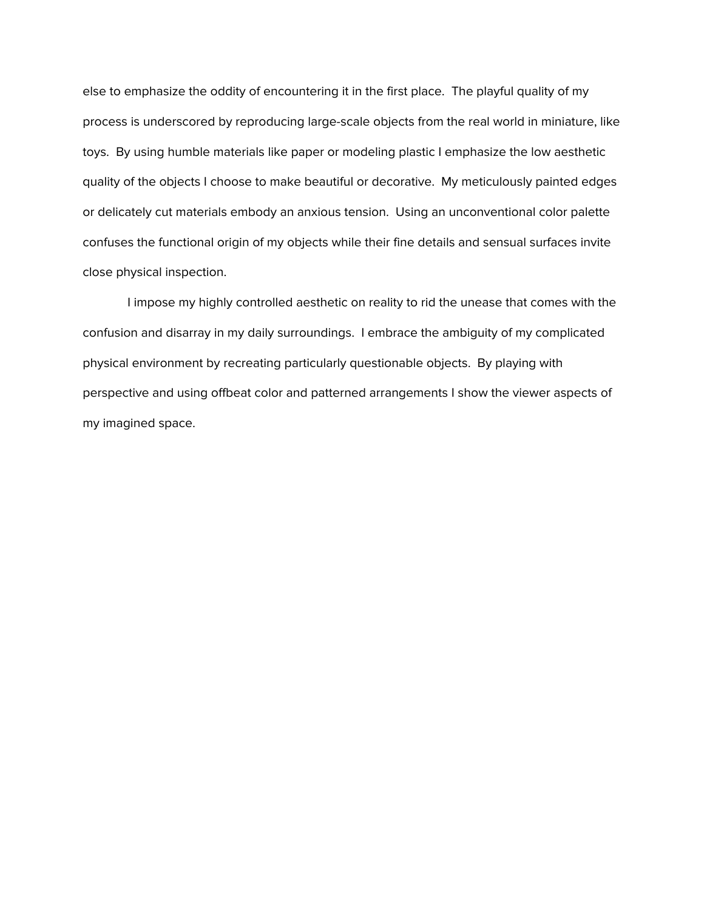else to emphasize the oddity of encountering it in the first place. The playful quality of my process is underscored by reproducing large-scale objects from the real world in miniature, like toys. By using humble materials like paper or modeling plastic I emphasize the low aesthetic quality of the objects I choose to make beautiful or decorative. My meticulously painted edges or delicately cut materials embody an anxious tension. Using an unconventional color palette confuses the functional origin of my objects while their fine details and sensual surfaces invite close physical inspection.

I impose my highly controlled aesthetic on reality to rid the unease that comes with the confusion and disarray in my daily surroundings. I embrace the ambiguity of my complicated physical environment by recreating particularly questionable objects. By playing with perspective and using offbeat color and patterned arrangements I show the viewer aspects of my imagined space.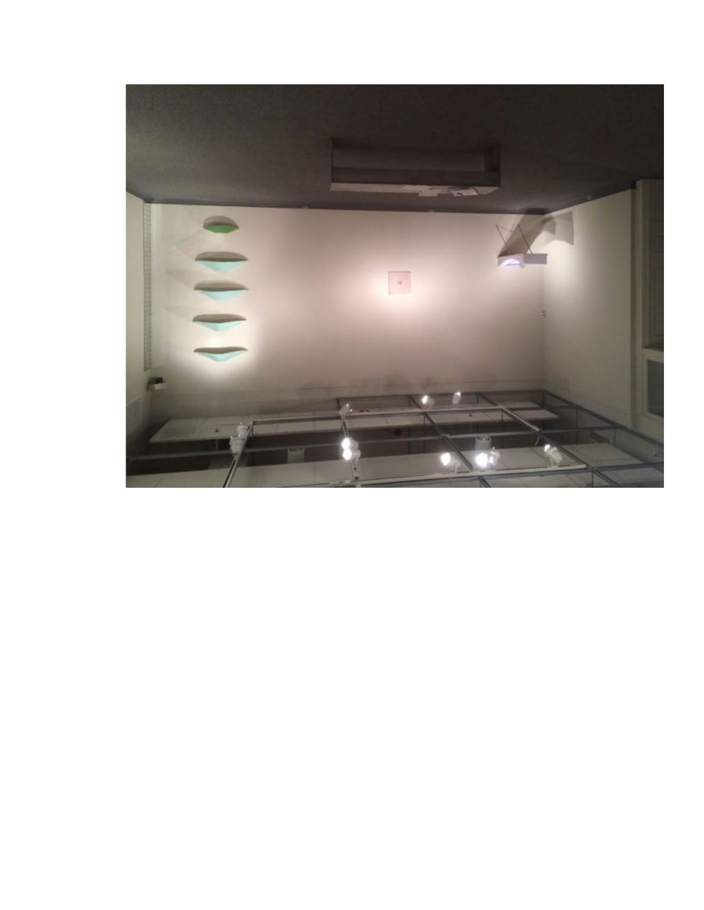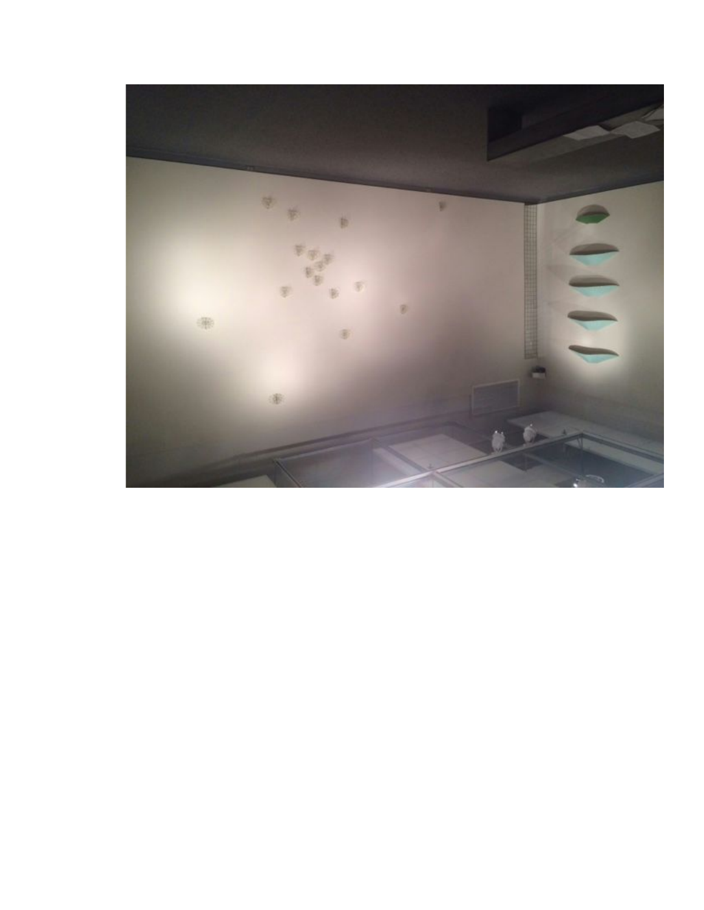